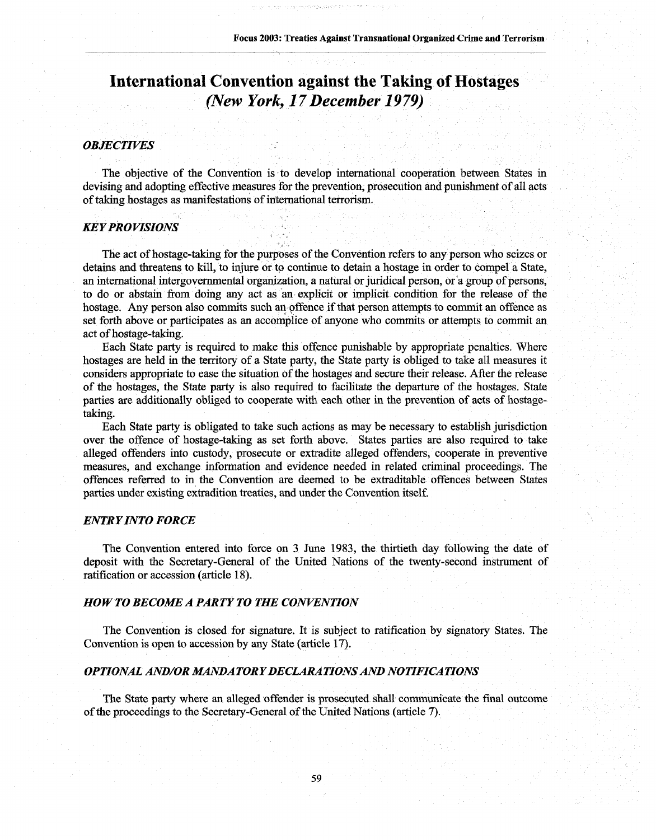# **International Convention against the Taking of Hostages** *(New York, 17December 1979)*

### *OBJECTIVES*

The objective of the Convention is to develop international cooperation between States in devising and adopting effective measures for the prevention, prosecution and punishment of all acts of talcing hostages as manifestations of international terrorism.

### *KEY PROVISIONS*

The act of hostage-taking for the purposes of the Convention refers to any person who seizes or detains and threatens to kill, to injure or to continue to detain a hostage in order to compel a State, an international intergovernmental organization, a natural or juridical person, or a group of persons, to do or abstain from doing any act as an explicit or implicit condition for the release of the hostage. Any person also commits such an offence if that person attempts to commit an offence as set forth above or participates as an accomplice of anyone who commits or attempts to commit an act of hostage-taking.

Each State party is required to make this offence punishable by appropriate penalties. Where hostages are held in the territory of a State party, the State party is obliged to take all measures it considers appropriate to ease the situation of the hostages and secure their release. After the release of the hostages, the State party is also required to facilitate the departure of the hostages. State parties are additionally obliged to cooperate with each other in the prevention of acts of hostagetaking.

Each State party is obligated to take such actions as may be necessary to establish jurisdiction over the offence of hostage-taking as set forth above. States parties are also required to take alleged offenders into custody, prosecute or extradite alleged offenders, cooperate in preventive measures, and exchange information and evidence needed in related criminal proceedings. The offences referred to in the Convention are deemed to be extraditable offences between States parties under existing extradition treaties, and under the Convention itself.

## *ENTRY INTO FORCE*

The Convention entered into force on 3 June 1983, the thirtieth day following the date of deposit with the Secretary-General of the United Nations of the twenty-second instrument of ratification or accession (article 18).

### *HOW TO BECOME A PARTY TO THE CONVENTION*

The Convention is closed for signature. It is subject to ratification by signatory States. The Convention is open to accession by any State (article 17).

### *OPTIONAL AND/OR MANDATORY DECLARATIONS AND NOTIFICATIONS*

The State party where an alleged offender is prosecuted shall communicate the final outcome of the proceedings to the Secretary-General of the United Nations (article 7).